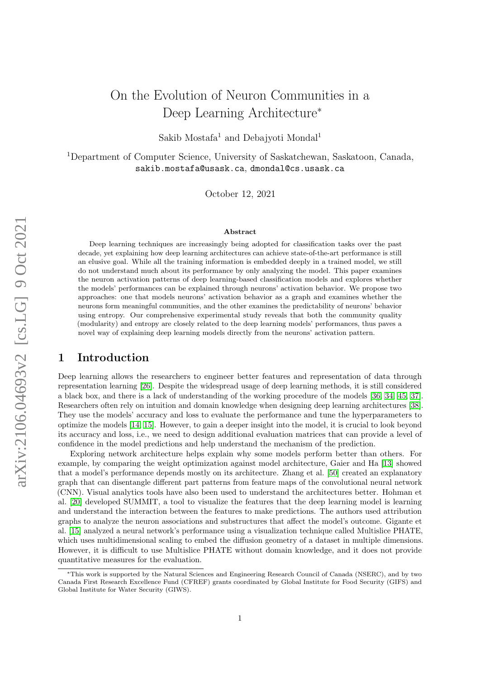# On the Evolution of Neuron Communities in a Deep Learning Architecture<sup>∗</sup>

Sakib Mostafa<sup>1</sup> and Debajyoti Mondal<sup>1</sup>

<sup>1</sup>Department of Computer Science, University of Saskatchewan, Saskatoon, Canada, sakib.mostafa@usask.ca, dmondal@cs.usask.ca

October 12, 2021

#### Abstract

Deep learning techniques are increasingly being adopted for classification tasks over the past decade, yet explaining how deep learning architectures can achieve state-of-the-art performance is still an elusive goal. While all the training information is embedded deeply in a trained model, we still do not understand much about its performance by only analyzing the model. This paper examines the neuron activation patterns of deep learning-based classification models and explores whether the models' performances can be explained through neurons' activation behavior. We propose two approaches: one that models neurons' activation behavior as a graph and examines whether the neurons form meaningful communities, and the other examines the predictability of neurons' behavior using entropy. Our comprehensive experimental study reveals that both the community quality (modularity) and entropy are closely related to the deep learning models' performances, thus paves a novel way of explaining deep learning models directly from the neurons' activation pattern.

### 1 Introduction

Deep learning allows the researchers to engineer better features and representation of data through representation learning [\[26\]](#page-10-0). Despite the widespread usage of deep learning methods, it is still considered a black box, and there is a lack of understanding of the working procedure of the models [\[36,](#page-11-0) [34,](#page-11-1) [45,](#page-11-2) [37\]](#page-11-3). Researchers often rely on intuition and domain knowledge when designing deep learning architectures [\[38\]](#page-11-4). They use the models' accuracy and loss to evaluate the performance and tune the hyperparameters to optimize the models [\[14,](#page-10-1) [15\]](#page-10-2). However, to gain a deeper insight into the model, it is crucial to look beyond its accuracy and loss, i.e., we need to design additional evaluation matrices that can provide a level of confidence in the model predictions and help understand the mechanism of the prediction.

Exploring network architecture helps explain why some models perform better than others. For example, by comparing the weight optimization against model architecture, Gaier and Ha [\[13\]](#page-10-3) showed that a model's performance depends mostly on its architecture. Zhang et al. [\[50\]](#page-12-0) created an explanatory graph that can disentangle different part patterns from feature maps of the convolutional neural network (CNN). Visual analytics tools have also been used to understand the architectures better. Hohman et al. [\[20\]](#page-10-4) developed SUMMIT, a tool to visualize the features that the deep learning model is learning and understand the interaction between the features to make predictions. The authors used attribution graphs to analyze the neuron associations and substructures that affect the model's outcome. Gigante et al. [\[15\]](#page-10-2) analyzed a neural network's performance using a visualization technique called Multislice PHATE, which uses multidimensional scaling to embed the diffusion geometry of a dataset in multiple dimensions. However, it is difficult to use Multislice PHATE without domain knowledge, and it does not provide quantitative measures for the evaluation.

<sup>∗</sup>This work is supported by the Natural Sciences and Engineering Research Council of Canada (NSERC), and by two Canada First Research Excellence Fund (CFREF) grants coordinated by Global Institute for Food Security (GIFS) and Global Institute for Water Security (GIWS).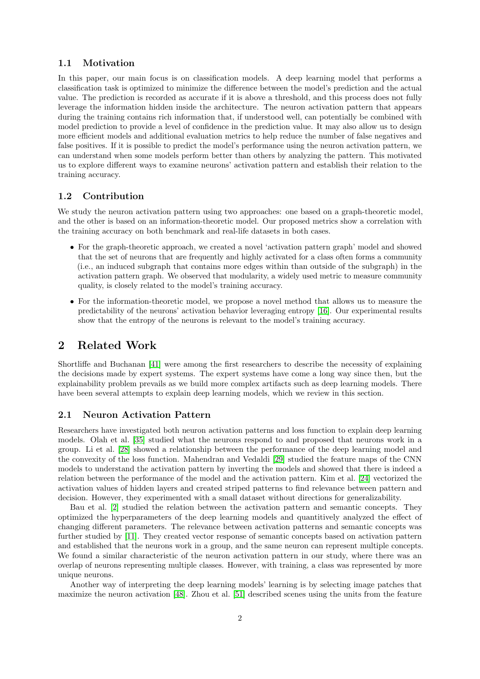#### 1.1 Motivation

In this paper, our main focus is on classification models. A deep learning model that performs a classification task is optimized to minimize the difference between the model's prediction and the actual value. The prediction is recorded as accurate if it is above a threshold, and this process does not fully leverage the information hidden inside the architecture. The neuron activation pattern that appears during the training contains rich information that, if understood well, can potentially be combined with model prediction to provide a level of confidence in the prediction value. It may also allow us to design more efficient models and additional evaluation metrics to help reduce the number of false negatives and false positives. If it is possible to predict the model's performance using the neuron activation pattern, we can understand when some models perform better than others by analyzing the pattern. This motivated us to explore different ways to examine neurons' activation pattern and establish their relation to the training accuracy.

#### 1.2 Contribution

We study the neuron activation pattern using two approaches: one based on a graph-theoretic model, and the other is based on an information-theoretic model. Our proposed metrics show a correlation with the training accuracy on both benchmark and real-life datasets in both cases.

- For the graph-theoretic approach, we created a novel 'activation pattern graph' model and showed that the set of neurons that are frequently and highly activated for a class often forms a community (i.e., an induced subgraph that contains more edges within than outside of the subgraph) in the activation pattern graph. We observed that modularity, a widely used metric to measure community quality, is closely related to the model's training accuracy.
- For the information-theoretic model, we propose a novel method that allows us to measure the predictability of the neurons' activation behavior leveraging entropy [\[16\]](#page-10-5). Our experimental results show that the entropy of the neurons is relevant to the model's training accuracy.

### 2 Related Work

Shortliffe and Buchanan [\[41\]](#page-11-5) were among the first researchers to describe the necessity of explaining the decisions made by expert systems. The expert systems have come a long way since then, but the explainability problem prevails as we build more complex artifacts such as deep learning models. There have been several attempts to explain deep learning models, which we review in this section.

#### 2.1 Neuron Activation Pattern

Researchers have investigated both neuron activation patterns and loss function to explain deep learning models. Olah et al. [\[35\]](#page-11-6) studied what the neurons respond to and proposed that neurons work in a group. Li et al. [\[28\]](#page-11-7) showed a relationship between the performance of the deep learning model and the convexity of the loss function. Mahendran and Vedaldi [\[29\]](#page-11-8) studied the feature maps of the CNN models to understand the activation pattern by inverting the models and showed that there is indeed a relation between the performance of the model and the activation pattern. Kim et al. [\[24\]](#page-10-6) vectorized the activation values of hidden layers and created striped patterns to find relevance between pattern and decision. However, they experimented with a small dataset without directions for generalizability.

Bau et al. [\[2\]](#page-9-0) studied the relation between the activation pattern and semantic concepts. They optimized the hyperparameters of the deep learning models and quantitively analyzed the effect of changing different parameters. The relevance between activation patterns and semantic concepts was further studied by [\[11\]](#page-10-7). They created vector response of semantic concepts based on activation pattern and established that the neurons work in a group, and the same neuron can represent multiple concepts. We found a similar characteristic of the neuron activation pattern in our study, where there was an overlap of neurons representing multiple classes. However, with training, a class was represented by more unique neurons.

Another way of interpreting the deep learning models' learning is by selecting image patches that maximize the neuron activation [\[48\]](#page-12-1). Zhou et al. [\[51\]](#page-12-2) described scenes using the units from the feature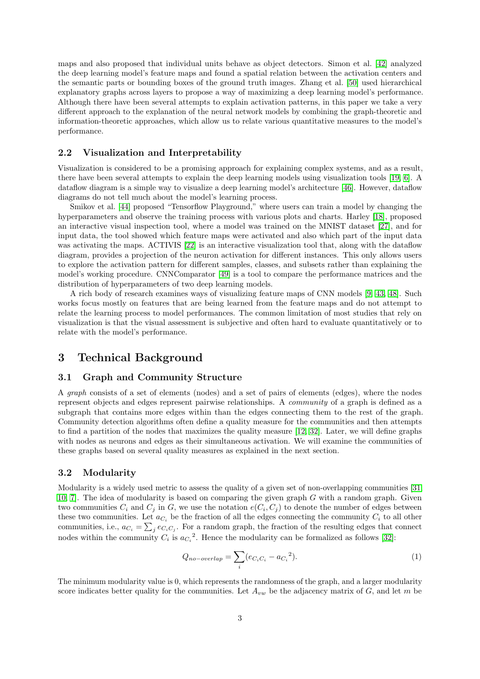maps and also proposed that individual units behave as object detectors. Simon et al. [\[42\]](#page-11-9) analyzed the deep learning model's feature maps and found a spatial relation between the activation centers and the semantic parts or bounding boxes of the ground truth images. Zhang et al. [\[50\]](#page-12-0) used hierarchical explanatory graphs across layers to propose a way of maximizing a deep learning model's performance. Although there have been several attempts to explain activation patterns, in this paper we take a very different approach to the explanation of the neural network models by combining the graph-theoretic and information-theoretic approaches, which allow us to relate various quantitative measures to the model's performance.

#### 2.2 Visualization and Interpretability

Visualization is considered to be a promising approach for explaining complex systems, and as a result, there have been several attempts to explain the deep learning models using visualization tools [\[19,](#page-10-8) [6\]](#page-9-1). A dataflow diagram is a simple way to visualize a deep learning model's architecture [\[46\]](#page-11-10). However, dataflow diagrams do not tell much about the model's learning process.

Smikov et al. [\[44\]](#page-11-11) proposed "Tensorflow Playground," where users can train a model by changing the hyperparameters and observe the training process with various plots and charts. Harley [\[18\]](#page-10-9), proposed an interactive visual inspection tool, where a model was trained on the MNIST dataset [\[27\]](#page-10-10), and for input data, the tool showed which feature maps were activated and also which part of the input data was activating the maps. ACTIVIS [\[22\]](#page-10-11) is an interactive visualization tool that, along with the dataflow diagram, provides a projection of the neuron activation for different instances. This only allows users to explore the activation pattern for different samples, classes, and subsets rather than explaining the model's working procedure. CNNComparator [\[49\]](#page-12-3) is a tool to compare the performance matrices and the distribution of hyperparameters of two deep learning models.

A rich body of research examines ways of visualizing feature maps of CNN models [\[9,](#page-10-12) [43,](#page-11-12) [48\]](#page-12-1). Such works focus mostly on features that are being learned from the feature maps and do not attempt to relate the learning process to model performances. The common limitation of most studies that rely on visualization is that the visual assessment is subjective and often hard to evaluate quantitatively or to relate with the model's performance.

### 3 Technical Background

#### 3.1 Graph and Community Structure

A graph consists of a set of elements (nodes) and a set of pairs of elements (edges), where the nodes represent objects and edges represent pairwise relationships. A community of a graph is defined as a subgraph that contains more edges within than the edges connecting them to the rest of the graph. Community detection algorithms often define a quality measure for the communities and then attempts to find a partition of the nodes that maximizes the quality measure [\[12,](#page-10-13) [32\]](#page-11-13). Later, we will define graphs with nodes as neurons and edges as their simultaneous activation. We will examine the communities of these graphs based on several quality measures as explained in the next section.

#### 3.2 Modularity

Modularity is a widely used metric to assess the quality of a given set of non-overlapping communities [\[31,](#page-11-14) [10,](#page-10-14) 7. The idea of modularity is based on comparing the given graph  $G$  with a random graph. Given two communities  $C_i$  and  $C_j$  in G, we use the notation  $e(C_i, C_j)$  to denote the number of edges between these two communities. Let  $a_{C_i}$  be the fraction of all the edges connecting the community  $C_i$  to all other communities, i.e.,  $a_{C_i} = \sum_j e_{C_i C_j}$ . For a random graph, the fraction of the resulting edges that connect nodes within the community  $C_i$  is  $a_{C_i}^2$ . Hence the modularity can be formalized as follows [\[32\]](#page-11-13):

<span id="page-2-0"></span>
$$
Q_{no-overlap} = \sum_{i} (e_{C_i C_i} - a_{C_i}^2). \tag{1}
$$

The minimum modularity value is 0, which represents the randomness of the graph, and a larger modularity score indicates better quality for the communities. Let  $A_{vw}$  be the adjacency matrix of  $G$ , and let m be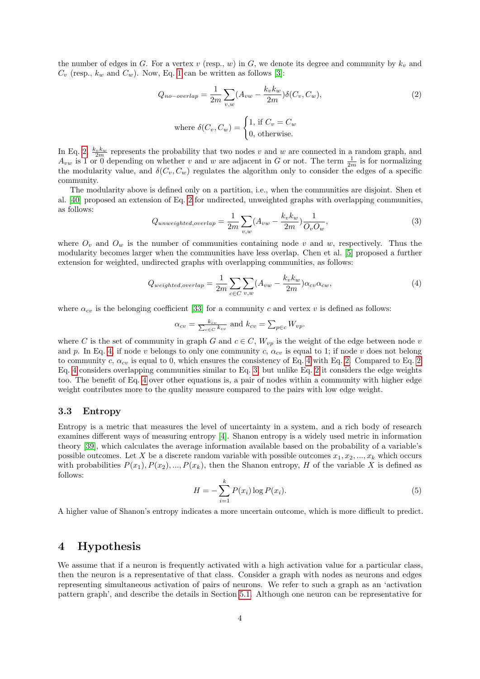the number of edges in G. For a vertex v (resp., w) in G, we denote its degree and community by  $k_v$  and  $C_v$  (resp.,  $k_w$  and  $C_w$ ). Now, Eq. [1](#page-2-0) can be written as follows [\[3\]](#page-9-3):

<span id="page-3-0"></span>
$$
Q_{no-overlap} = \frac{1}{2m} \sum_{v,w} (A_{vw} - \frac{k_v k_w}{2m}) \delta(C_v, C_w),
$$
\n<sup>(2)</sup>

where 
$$
\delta(C_v, C_w) = \begin{cases} 1, & \text{if } C_v = C_w \\ 0, & \text{otherwise.} \end{cases}
$$

In Eq. [2,](#page-3-0)  $\frac{k_v k_w}{2m}$  represents the probability that two nodes v and w are connected in a random graph, and  $A_{vw}$  is 1 or 0 depending on whether v and w are adjacent in G or not. The term  $\frac{1}{2m}$  is for normalizing the modularity value, and  $\delta(C_v, C_w)$  regulates the algorithm only to consider the edges of a specific community.

The modularity above is defined only on a partition, i.e., when the communities are disjoint. Shen et al. [\[40\]](#page-11-15) proposed an extension of Eq. [2](#page-3-0) for undirected, unweighted graphs with overlapping communities, as follows:

<span id="page-3-2"></span>
$$
Q_{unweighted, overlap} = \frac{1}{2m} \sum_{v,w} (A_{vw} - \frac{k_v k_w}{2m}) \frac{1}{O_v O_w},\tag{3}
$$

where  $O_v$  and  $O_w$  is the number of communities containing node v and w, respectively. Thus the modularity becomes larger when the communities have less overlap. Chen et al. [\[5\]](#page-9-4) proposed a further extension for weighted, undirected graphs with overlapping communities, as follows:

<span id="page-3-1"></span>
$$
Q_{weighted,overlap} = \frac{1}{2m} \sum_{c \in C} \sum_{v,w} (A_{vw} - \frac{k_v k_w}{2m}) \alpha_{cv} \alpha_{cw},\tag{4}
$$

where  $\alpha_{cv}$  is the belonging coefficient [\[33\]](#page-11-16) for a community c and vertex v is defined as follows:

$$
\alpha_{cv} = \frac{k_{cv}}{\sum_{c \in C} k_{cv}}
$$
 and  $k_{cv} = \sum_{p \in c} W_{vp}$ .

where C is the set of community in graph G and  $c \in C$ ,  $W_{vp}$  is the weight of the edge between node v and p. In Eq. [4,](#page-3-1) if node v belongs to only one community c,  $\alpha_{cv}$  is equal to 1; if node v does not belong to community c,  $\alpha_{cv}$  is equal to 0, which ensures the consistency of Eq. [4](#page-3-1) with Eq. [2.](#page-3-0) Compared to Eq. [2,](#page-3-0) Eq. [4](#page-3-1) considers overlapping communities similar to Eq. [3,](#page-3-2) but unlike Eq. [2](#page-3-0) it considers the edge weights too. The benefit of Eq. [4](#page-3-1) over other equations is, a pair of nodes within a community with higher edge weight contributes more to the quality measure compared to the pairs with low edge weight.

#### 3.3 Entropy

Entropy is a metric that measures the level of uncertainty in a system, and a rich body of research examines different ways of measuring entropy [\[4\]](#page-9-5). Shanon entropy is a widely used metric in information theory [\[39\]](#page-11-17), which calculates the average information available based on the probability of a variable's possible outcomes. Let X be a discrete random variable with possible outcomes  $x_1, x_2, ..., x_k$  which occurs with probabilities  $P(x_1), P(x_2), ..., P(x_k)$ , then the Shanon entropy, H of the variable X is defined as follows:

$$
H = -\sum_{i=1}^{k} P(x_i) \log P(x_i).
$$
 (5)

A higher value of Shanon's entropy indicates a more uncertain outcome, which is more difficult to predict.

### 4 Hypothesis

We assume that if a neuron is frequently activated with a high activation value for a particular class, then the neuron is a representative of that class. Consider a graph with nodes as neurons and edges representing simultaneous activation of pairs of neurons. We refer to such a graph as an 'activation pattern graph', and describe the details in Section [5.1.](#page-4-0) Although one neuron can be representative for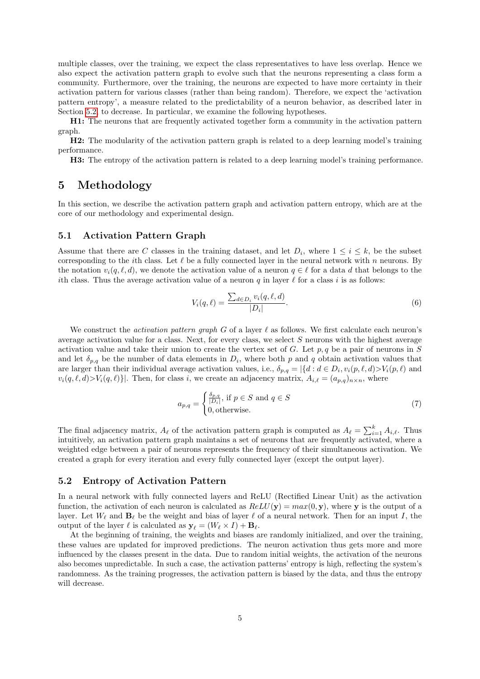multiple classes, over the training, we expect the class representatives to have less overlap. Hence we also expect the activation pattern graph to evolve such that the neurons representing a class form a community. Furthermore, over the training, the neurons are expected to have more certainty in their activation pattern for various classes (rather than being random). Therefore, we expect the 'activation pattern entropy', a measure related to the predictability of a neuron behavior, as described later in Section [5.2,](#page-4-1) to decrease. In particular, we examine the following hypotheses.

H1: The neurons that are frequently activated together form a community in the activation pattern graph.

H2: The modularity of the activation pattern graph is related to a deep learning model's training performance.

H3: The entropy of the activation pattern is related to a deep learning model's training performance.

### 5 Methodology

In this section, we describe the activation pattern graph and activation pattern entropy, which are at the core of our methodology and experimental design.

#### <span id="page-4-0"></span>5.1 Activation Pattern Graph

Assume that there are C classes in the training dataset, and let  $D_i$ , where  $1 \leq i \leq k$ , be the subset corresponding to the *i*th class. Let  $\ell$  be a fully connected layer in the neural network with n neurons. By the notation  $v_i(q, \ell, d)$ , we denote the activation value of a neuron  $q \in \ell$  for a data d that belongs to the ith class. Thus the average activation value of a neuron q in layer  $\ell$  for a class i is as follows:

$$
V_i(q,\ell) = \frac{\sum_{d \in D_i} v_i(q,\ell,d)}{|D_i|}.
$$
\n
$$
(6)
$$

We construct the *activation pattern graph G* of a layer  $\ell$  as follows. We first calculate each neuron's average activation value for a class. Next, for every class, we select S neurons with the highest average activation value and take their union to create the vertex set of G. Let  $p, q$  be a pair of neurons in S and let  $\delta_{p,q}$  be the number of data elements in  $D_i$ , where both p and q obtain activation values that are larger than their individual average activation values, i.e.,  $\delta_{p,q} = |\{d : d \in D_i, v_i(p,\ell,d) > V_i(p,\ell) \text{ and }$  $v_i(q, \ell, d)$ >V<sub>i</sub> $(q, \ell)$ }. Then, for class i, we create an adjacency matrix,  $A_{i,\ell} = (a_{p,q})_{n \times n}$ , where

<span id="page-4-2"></span>
$$
a_{p,q} = \begin{cases} \frac{\delta_{p,q}}{|D_i|}, \text{ if } p \in S \text{ and } q \in S\\ 0, \text{ otherwise.} \end{cases} \tag{7}
$$

The final adjacency matrix,  $A_{\ell}$  of the activation pattern graph is computed as  $A_{\ell} = \sum_{i=1}^{k} A_{i,\ell}$ . Thus intuitively, an activation pattern graph maintains a set of neurons that are frequently activated, where a weighted edge between a pair of neurons represents the frequency of their simultaneous activation. We created a graph for every iteration and every fully connected layer (except the output layer).

### <span id="page-4-1"></span>5.2 Entropy of Activation Pattern

In a neural network with fully connected layers and ReLU (Rectified Linear Unit) as the activation function, the activation of each neuron is calculated as  $ReLU(y) = max(0, y)$ , where y is the output of a layer. Let  $W_\ell$  and  $\mathbf{B}_\ell$  be the weight and bias of layer  $\ell$  of a neural network. Then for an input I, the output of the layer  $\ell$  is calculated as  $\mathbf{y}_{\ell} = (W_{\ell} \times I) + \mathbf{B}_{\ell}$ .

At the beginning of training, the weights and biases are randomly initialized, and over the training, these values are updated for improved predictions. The neuron activation thus gets more and more influenced by the classes present in the data. Due to random initial weights, the activation of the neurons also becomes unpredictable. In such a case, the activation patterns' entropy is high, reflecting the system's randomness. As the training progresses, the activation pattern is biased by the data, and thus the entropy will decrease.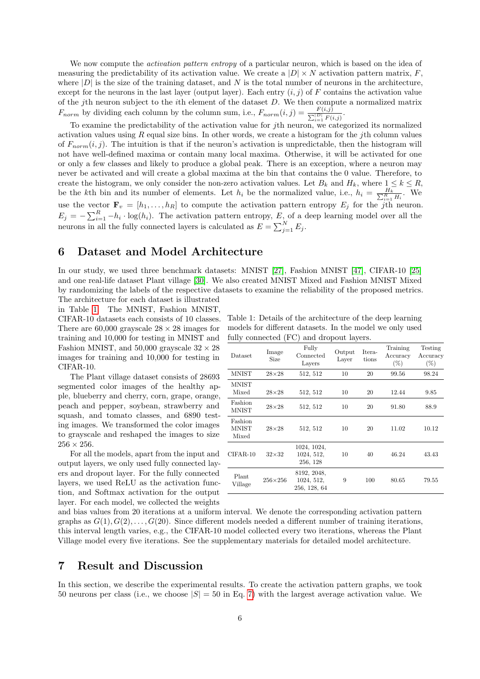We now compute the *activation pattern entropy* of a particular neuron, which is based on the idea of measuring the predictability of its activation value. We create a  $|D| \times N$  activation pattern matrix, F, where  $|D|$  is the size of the training dataset, and N is the total number of neurons in the architecture, except for the neurons in the last layer (output layer). Each entry  $(i, j)$  of F contains the activation value of the jth neuron subject to the *i*th element of the dataset  $D$ . We then compute a normalized matrix  $F_{norm}$  by dividing each column by the column sum, i.e.,  $F_{norm}(i, j) = \frac{F(i,j)}{\sum_{i=1}^{|D|} F(i,j)}$ .

To examine the predictability of the activation value for jth neuron, we categorized its normalized activation values using  $R$  equal size bins. In other words, we create a histogram for the *j*th column values of  $F_{norm}(i, j)$ . The intuition is that if the neuron's activation is unpredictable, then the histogram will not have well-defined maxima or contain many local maxima. Otherwise, it will be activated for one or only a few classes and likely to produce a global peak. There is an exception, where a neuron may never be activated and will create a global maxima at the bin that contains the 0 value. Therefore, to create the histogram, we only consider the non-zero activation values. Let  $B_k$  and  $H_k$ , where  $1 \leq k \leq R$ , be the kth bin and its number of elements. Let  $h_i$  be the normalized value, i.e.,  $h_i = \frac{H_k}{\sum_{i=1}^R H_i}$ . We use the vector  $\mathbf{F}_v = [h_1, \ldots, h_R]$  to compute the activation pattern entropy  $E_j$  for the j<sup>th</sup> neuron.  $E_j = -\sum_{i=1}^R -h_i \cdot \log(h_i)$ . The activation pattern entropy, E, of a deep learning model over all the neurons in all the fully connected layers is calculated as  $E = \sum_{j=1}^{N} E_j$ .

### 6 Dataset and Model Architecture

In our study, we used three benchmark datasets: MNIST [\[27\]](#page-10-10), Fashion MNIST [\[47\]](#page-11-18), CIFAR-10 [\[25\]](#page-10-15) and one real-life dataset Plant village [\[30\]](#page-11-19). We also created MNIST Mixed and Fashion MNIST Mixed by randomizing the labels of the respective datasets to examine the reliability of the proposed metrics. The architecture for each dataset is illustrated

in Table [1.](#page-5-0) The MNIST, Fashion MNIST, CIFAR-10 datasets each consists of 10 classes. There are 60,000 grayscale  $28 \times 28$  images for training and 10,000 for testing in MNIST and Fashion MNIST, and 50,000 grayscale  $32 \times 28$ images for training and 10,000 for testing in CIFAR-10.

The Plant village dataset consists of 28693 segmented color images of the healthy apple, blueberry and cherry, corn, grape, orange, peach and pepper, soybean, strawberry and squash, and tomato classes, and 6890 testing images. We transformed the color images to grayscale and reshaped the images to size  $256 \times 256$ .

For all the models, apart from the input and output layers, we only used fully connected layers and dropout layer. For the fully connected layers, we used ReLU as the activation function, and Softmax activation for the output layer. For each model, we collected the weights

<span id="page-5-0"></span>Table 1: Details of the architecture of the deep learning models for different datasets. In the model we only used fully connected (FC) and dropout layers.

| Dataset                          | Image<br>Size  | Fully<br>Connected<br>Layers              | Output<br>Laver | Itera-<br>tions | Training<br>Accuracy<br>$(\% )$ | Testing<br>Accuracy<br>$(\%)$ |
|----------------------------------|----------------|-------------------------------------------|-----------------|-----------------|---------------------------------|-------------------------------|
| <b>MNIST</b>                     | $28\times28$   | 512, 512                                  | 10              | 20              | 99.56                           | 98.24                         |
| <b>MNIST</b><br>Mixed            | $28\times28$   | 512, 512                                  | 10              | 20              | 12.44                           | 9.85                          |
| Fashion<br><b>MNIST</b>          | $28\times28$   | 512, 512                                  | 10              | 20              | 91.80                           | 88.9                          |
| Fashion<br><b>MNIST</b><br>Mixed | $28\times28$   | 512, 512                                  | 10              | 20              | 11.02                           | 10.12                         |
| $CIFAR-10$                       | $32\times32$   | 1024, 1024,<br>1024, 512,<br>256, 128     | 10              | 40              | 46.24                           | 43.43                         |
| Plant<br>Village                 | $256\times256$ | 8192, 2048,<br>1024, 512,<br>256, 128, 64 | 9               | 100             | 80.65                           | 79.55                         |

and bias values from 20 iterations at a uniform interval. We denote the corresponding activation pattern graphs as  $G(1), G(2), \ldots, G(20)$ . Since different models needed a different number of training iterations, this interval length varies, e.g., the CIFAR-10 model collected every two iterations, whereas the Plant Village model every five iterations. See the supplementary materials for detailed model architecture.

### 7 Result and Discussion

In this section, we describe the experimental results. To create the activation pattern graphs, we took 50 neurons per class (i.e., we choose  $|S| = 50$  in Eq. [7\)](#page-4-2) with the largest average activation value. We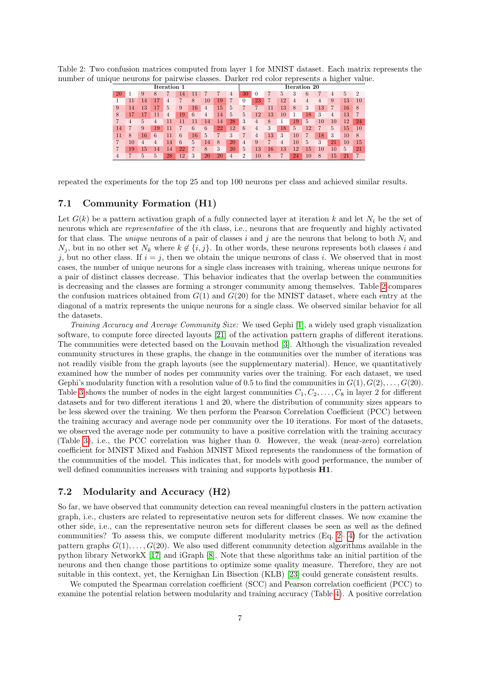Table 2: Two confusion matrices computed from layer 1 for MNIST dataset. Each matrix represents the number of unique neurons for pairwise classes. Darker red color represents a higher value.

<span id="page-6-0"></span>

| Iteration 1 |    |    |    |    |                 |    |                |    | -<br>Iteration 20 |                |    |                 |                |                |    |    |        |    |                |
|-------------|----|----|----|----|-----------------|----|----------------|----|-------------------|----------------|----|-----------------|----------------|----------------|----|----|--------|----|----------------|
| 20          |    | 9  | 8  |    | 4               |    |                |    | 4                 | 30             | 0  |                 | 5              | 3              |    |    | 4      | 5  | $\overline{2}$ |
|             |    | 14 |    | 4  |                 | 8  | 10             | 19 |                   | $\Omega$       | 23 |                 | 12             | 4              | 4  | 4  | 9      | 13 | 10             |
| 9           | 14 | 13 |    | 5  | 9               | 16 | $\overline{4}$ | 15 | 5                 |                |    |                 | 13             | 8              | 3  | 13 |        | 16 | 8              |
| 8           |    |    |    | 4  | 19              | 6  | 4              | 14 | 5                 | 5              | 12 | 13 <sup>7</sup> | 10             |                | 18 | 3  | 4      | 13 |                |
|             | 4  | 5  | 4  |    |                 |    | 14             | 14 | 28                | 3              | 4  | 8               |                | 19             | 5  | 10 | $10\,$ | 12 | 24             |
| 14          |    | 9  | 19 |    |                 | 6  | 6              | 22 | 12                | 6              | 4  | 3               | 18             | $\overline{5}$ | 12 | 7  | 5      | 15 | 10             |
| 11          | 8  | 16 | 6  |    | 6               | 16 | 5              |    | 3                 |                | 4  | 13              | 3              | 10             |    | 18 | 3      | 10 | 8              |
|             | 10 | 4  | 4  | 14 | 6               | 5  | 14             | 8  | 20                | 4              | 9  |                 | $\overline{4}$ | 10             | 5  | 3  | 21     | 10 | 15             |
|             | 19 | 15 | 14 | 14 | 22              | 7  | 8              | 3  | 20                | 5              | 13 | 16              | 13             | 12             | 15 | 10 | 10     | 5  | 21             |
|             |    | 5  | 5  | 28 | 12 <sup>7</sup> | 3  | 20             | 20 | 4                 | $\overline{2}$ | 10 | 8               |                | 24             | 10 | 8  | 15     | 21 | 7              |

repeated the experiments for the top 25 and top 100 neurons per class and achieved similar results.

### 7.1 Community Formation (H1)

Let  $G(k)$  be a pattern activation graph of a fully connected layer at iteration k and let  $N_i$  be the set of neurons which are representative of the ith class, i.e., neurons that are frequently and highly activated for that class. The *unique* neurons of a pair of classes i and j are the neurons that belong to both  $N_i$  and  $N_i$ , but in no other set  $N_k$  where  $k \notin \{i, j\}$ . In other words, these neurons represents both classes i and j, but no other class. If  $i = j$ , then we obtain the unique neurons of class i. We observed that in most cases, the number of unique neurons for a single class increases with training, whereas unique neurons for a pair of distinct classes decrease. This behavior indicates that the overlap between the communities is decreasing and the classes are forming a stronger community among themselves. Table [2](#page-6-0) compares the confusion matrices obtained from  $G(1)$  and  $G(20)$  for the MNIST dataset, where each entry at the diagonal of a matrix represents the unique neurons for a single class. We observed similar behavior for all the datasets.

Training Accuracy and Average Community Size: We used Gephi [\[1\]](#page-9-6), a widely used graph visualization software, to compute force directed layouts [\[21\]](#page-10-16) of the activation pattern graphs of different iterations. The communities were detected based on the Louvain method [\[3\]](#page-9-3). Although the visualization revealed community structures in these graphs, the change in the communities over the number of iterations was not readily visible from the graph layouts (see the supplementary material). Hence, we quantitatively examined how the number of nodes per community varies over the training. For each dataset, we used Gephi's modularity function with a resolution value of 0.5 to find the communities in  $G(1), G(2), \ldots, G(20)$ . Table [3](#page-7-0) shows the number of nodes in the eight largest communities  $C_1, C_2, \ldots, C_8$  in layer 2 for different datasets and for two different iterations 1 and 20, where the distribution of community sizes appears to be less skewed over the training. We then perform the Pearson Correlation Coefficient (PCC) between the training accuracy and average node per community over the 10 iterations. For most of the datasets, we observed the average node per community to have a positive correlation with the training accuracy (Table [3\)](#page-7-0), i.e., the PCC correlation was higher than 0. However, the weak (near-zero) correlation coefficient for MNIST Mixed and Fashion MNIST Mixed represents the randomness of the formation of the communities of the model. This indicates that, for models with good performance, the number of well defined communities increases with training and supports hypothesis  $H1$ .

### 7.2 Modularity and Accuracy (H2)

So far, we have observed that community detection can reveal meaningful clusters in the pattern activation graph, i.e., clusters are related to representative neuron sets for different classes. We now examine the other side, i.e., can the representative neuron sets for different classes be seen as well as the defined communities? To assess this, we compute different modularity metrics  $(Eq, 2-4)$  for the activation pattern graphs  $G(1), \ldots, G(20)$ . We also used different community detection algorithms available in the python library NetworkX [\[17\]](#page-10-17) and iGraph [\[8\]](#page-10-18). Note that these algorithms take an initial partition of the neurons and then change those partitions to optimize some quality measure. Therefore, they are not suitable in this context, yet, the Kernighan Lin Bisection (KLB) [\[23\]](#page-10-19) could generate consistent results.

We computed the Spearman correlation coefficient (SCC) and Pearson correlation coefficient (PCC) to examine the potential relation between modularity and training accuracy (Table [4\)](#page-8-0). A positive correlation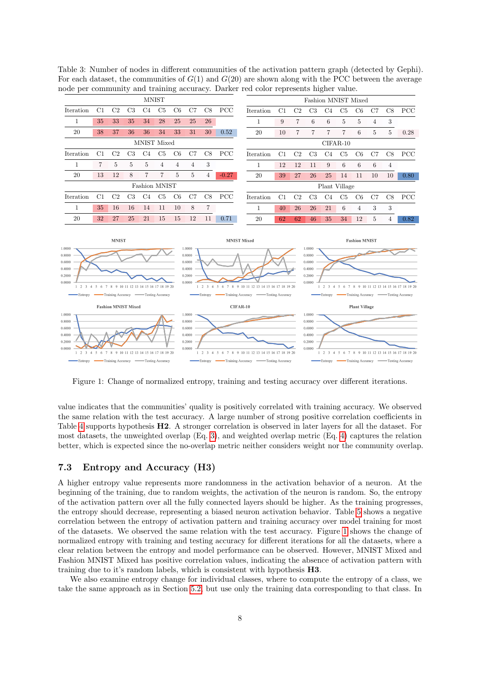MNIST Fashion MNIST Mixed Iteration C1 C2 C3 C4 C5 C6 C7 C8 PCC Iteration C1 C2 C3 C4 C5 C6 C7 C8 PCC 1 35 33 35 34 28 25 25 26 1 9 7 6 6 5 5 4 3 20 38 37 36 36 34 33 31 30 0.52 20 10 7 7 7 7 6 5 5 0.28 MNIST Mixed CIFAR-10 Iteration C1 C2 C3 C4 C5 C6 C7 C8 PCC Iteration C1 C2 C3 C4 C5 C6 C7 C8 PCC 1 7 5 5 5 4 4 4 3 1 12 12 11 9 6 6 6 4 20 13 12 8 7 7 5 5 4 -0.27 20 39 27 26 25 14 11 10 10 0.80 Fashion MNIST Plant Village Iteration C1 C2 C3 C4 C5 C6 C7 C8 PCC Iteration C1 C2 C3 C4 C5 C6 C7 C8 PCC 1 35 16 16 14 11 10 8 7 1 40 26 26 21 6 4 3 3 20 32 27 25 21 15 15 12 11 0.71 20 62 62 46 35 34 12 5 4 0.82 **MNIST MNIST Mixed Fashion MNIST**  $1.0000$  $1,0000$ 1.0000  $0.8000$  $0.8000$  $0.8000$ 0.6000  $0.6000$  $0.6000$ 0.4000  $0.4000$  $0.4000$ 0.2000 0.2000  $0.2000$ 0.0000 0.0000  $0.0000$ 1 2 3 4 5 6 7 8 9 10 11 12 13 14 15 16 17 18 19 20  $1 \t2 \t3 \t4 \t5$ 6 7 8 9 10 11 12 13 14 15 16 17 18 19 20 1 2 3 4 5 6 7 8 9 10 11 12 13 14 15 16 17 18 19 20 -<br>Testing Accuracy Training Accuracy Testing Accurac Training Accuracy **Training Accuracy** Testing Accurac **Fashion MNIST Mixed** CIFAR-10 **Plant Village** 1.0000 1.0000 1.0000  $0.8000$ n soon  $0.8000$  $0.6000$ 0.6000  $0.6000$  $0.4000$  $0.4000$  $0.4000$  $0.2000$ 0.2000  $0.2000$  $0.0000$ 0.0000  $0.0000$ 7 8 9 10 11 12 13 14 15 16 17 18 19 20 1 2 3 4 5 6 7 8 9 10 11 12 13 14 15 16 17 18 19 20  $\overline{6}$ 1 2 3 4 5 6 7 8 9 10 11 12 13 14 15 16 17 18 19 20

<span id="page-7-0"></span>Table 3: Number of nodes in different communities of the activation pattern graph (detected by Gephi). For each dataset, the communities of  $G(1)$  and  $G(20)$  are shown along with the PCC between the average node per community and training accuracy. Darker red color represents higher value.

Figure 1: Change of normalized entropy, training and testing accuracy over different iterations.

Training Accuracy

-Testing Accuracy

Entrony

- Training Accuracy

-<br>Testing Accurac

-Entrony

value indicates that the communities' quality is positively correlated with training accuracy. We observed the same relation with the test accuracy. A large number of strong positive correlation coefficients in Table [4](#page-8-0) supports hypothesis H2. A stronger correlation is observed in later layers for all the dataset. For most datasets, the unweighted overlap (Eq. [3\)](#page-3-2), and weighted overlap metric (Eq. [4\)](#page-3-1) captures the relation better, which is expected since the no-overlap metric neither considers weight nor the community overlap.

#### 7.3 Entropy and Accuracy (H3)

Entrony

<span id="page-7-1"></span>Training Accuracy

-<br>Testing Accuracy

A higher entropy value represents more randomness in the activation behavior of a neuron. At the beginning of the training, due to random weights, the activation of the neuron is random. So, the entropy of the activation pattern over all the fully connected layers should be higher. As the training progresses, the entropy should decrease, representing a biased neuron activation behavior. Table [5](#page-8-1) shows a negative correlation between the entropy of activation pattern and training accuracy over model training for most of the datasets. We observed the same relation with the test accuracy. Figure [1](#page-7-1) shows the change of normalized entropy with training and testing accuracy for different iterations for all the datasets, where a clear relation between the entropy and model performance can be observed. However, MNIST Mixed and Fashion MNIST Mixed has positive correlation values, indicating the absence of activation pattern with training due to it's random labels, which is consistent with hypothesis H3.

We also examine entropy change for individual classes, where to compute the entropy of a class, we take the same approach as in Section [5.2,](#page-4-1) but use only the training data corresponding to that class. In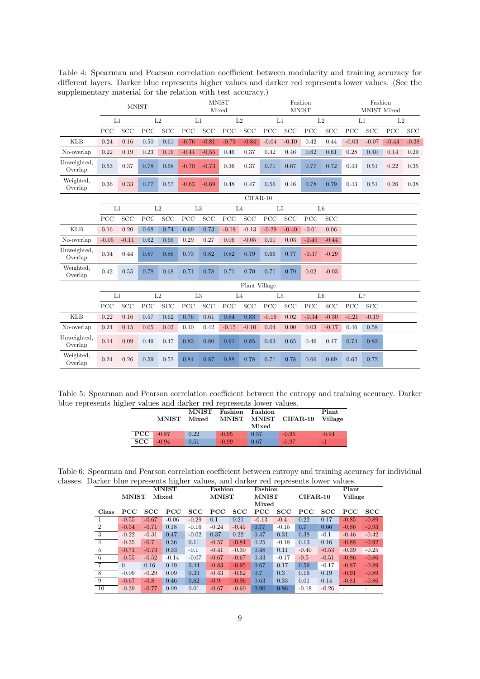|                        |         | <b>MNIST</b> |      |            | <b>MNIST</b><br>Mixed |            |                |               | Fashion<br><b>MNIST</b> |            |                |            | Fashion<br>MNIST Mixed |            |         |            |
|------------------------|---------|--------------|------|------------|-----------------------|------------|----------------|---------------|-------------------------|------------|----------------|------------|------------------------|------------|---------|------------|
|                        | L1      |              | L2   |            | L1                    |            | L2             |               | L1                      |            | L <sub>2</sub> |            | L1                     |            | L2      |            |
|                        | PCC     | SCC          | PCC  | <b>SCC</b> | PCC                   | SCC        | PCC            | <b>SCC</b>    | PCC                     | SCC        | PCC            | <b>SCC</b> | PCC                    | <b>SCC</b> | PCC     | <b>SCC</b> |
| KLB                    | 0.24    | 0.16         | 0.50 | 0.61       | $-0.76$               | $-0.81$    | $-0.73$        | $-0.84$       | $-0.04$                 | $-0.10$    | 0.42           | 0.44       | $-0.03$                | $-0.07$    | $-0.44$ | $-0.38$    |
| No-overlap             | 0.22    | 0.19         | 0.23 | 0.19       | $-0.44$               | $-0.55$    | 0.46           | 0.37          | 0.42                    | 0.46       | 0.62           | 0.61       | 0.28                   | 0.40       | 0.14    | 0.29       |
| Unweighted,<br>Overlap | 0.53    | 0.37         | 0.78 | 0.68       | $-0.70$               | $-0.73$    | 0.36           | 0.37          | 0.71                    | 0.67       | 0.77           | 0.72       | 0.43                   | 0.51       | 0.22    | 0.35       |
| Weighted,<br>Overlap   | 0.36    | 0.33         | 0.77 | 0.57       | $-0.63$               | $-0.69$    | 0.48           | 0.47          | 0.56                    | 0.46       | 0.78           | 0.79       | 0.43                   | 0.51       | 0.26    | 0.38       |
|                        |         |              |      |            | $CIFAR-10$            |            |                |               |                         |            |                |            |                        |            |         |            |
|                        | L1      |              | L2   |            | L3                    |            | L <sub>4</sub> |               | L <sub>5</sub>          |            | L6             |            |                        |            |         |            |
|                        | PCC     | <b>SCC</b>   | PCC  | <b>SCC</b> | PCC                   | <b>SCC</b> | PCC            | <b>SCC</b>    | PCC                     | <b>SCC</b> | PCC            | SCC        |                        |            |         |            |
| <b>KLB</b>             | 0.16    | 0.20         | 0.68 | 0.74       | 0.69                  | 0.73       | $-0.18$        | $-0.13$       | $-0.29$                 | $-0.40$    | $-0.01$        | 0.06       |                        |            |         |            |
| No-overlap             | $-0.05$ | $-0.11$      | 0.62 | 0.66       | 0.29                  | 0.27       | 0.06           | $-0.05$       | 0.01                    | 0.03       | $-0.49$        | $-0.44$    |                        |            |         |            |
| Unweighted,<br>Overlap | 0.34    | 0.44         | 0.87 | 0.86       | 0.73                  | 0.82       | 0.82           | 0.79          | 0.66                    | 0.77       | $-0.37$        | $-0.29$    |                        |            |         |            |
| Weighted,<br>Overlap   | 0.42    | 0.55         | 0.78 | 0.68       | 0.71                  | 0.78       | 0.71           | 0.70          | 0.71                    | 0.79       | 0.02           | $-0.03$    |                        |            |         |            |
|                        |         |              |      |            |                       |            |                | Plant Village |                         |            |                |            |                        |            |         |            |
|                        | L1      |              | L2   |            | L3                    |            | L <sub>4</sub> |               | L <sub>5</sub>          |            | L6             |            | L7                     |            |         |            |
|                        | PCC     | <b>SCC</b>   | PCC  | <b>SCC</b> | PCC                   | SCC        | PCC            | SCC           | PCC                     | <b>SCC</b> | PCC            | <b>SCC</b> | PCC                    | <b>SCC</b> |         |            |
| <b>KLB</b>             | 0.22    | 0.16         | 0.57 | 0.62       | 0.76                  | 0.61       | 0.84           | 0.83          | $-0.16$                 | 0.02       | $-0.34$        | $-0.30$    | $-0.21$                | $-0.19$    |         |            |
| No-overlap             | 0.24    | 0.15         | 0.05 | 0.03       | 0.40                  | 0.42       | $-0.15$        | $-0.10$       | 0.04                    | 0.00       | 0.03           | $-0.17$    | 0.46                   | 0.58       |         |            |
| Unweighted,<br>Overlap | 0.14    | 0.09         | 0.49 | 0.47       | 0.83                  | 0.80       | 0.91           | 0.85          | 0.63                    | 0.65       | 0.46           | 0.47       | 0.74                   | 0.82       |         |            |
| Weighted,<br>Overlap   | 0.24    | 0.26         | 0.59 | 0.52       | 0.84                  | 0.87       | 0.88           | 0.78          | 0.71                    | 0.78       | 0.66           | 0.69       | 0.62                   | 0.72       |         |            |

<span id="page-8-0"></span>Table 4: Spearman and Pearson correlation coefficient between modularity and training accuracy for different layers. Darker blue represents higher values and darker red represents lower values. (See the supplementary material for the relation with test accuracy.)

<span id="page-8-1"></span>Table 5: Spearman and Pearson correlation coefficient between the entropy and training accuracy. Darker blue represents higher values and darker red represents lower values.

|     | <b>MNIST</b> | <b>MNIST</b><br>Mixed | Fashion | Fashion<br>Mixed | MNIST MNIST CIFAR-10 | Plant<br>Village |
|-----|--------------|-----------------------|---------|------------------|----------------------|------------------|
| PCC | $-0.87$      | 0.22                  | $-0.95$ | 0.57             | $-0.95$              | $-0.94$          |
| SCC | $-0.94$      | 0.51                  | $-0.99$ | 0.67             | $-0.97$              | -1               |

Table 6: Spearman and Pearson correlation coefficient between entropy and training accuracy for individual classes. Darker blue represents higher values, and darker red represents lower values.

|                |              |         | ີ<br>MNIST   |         | Fashion      |         | Fashion      |         | Plant      |         |              |         |  |
|----------------|--------------|---------|--------------|---------|--------------|---------|--------------|---------|------------|---------|--------------|---------|--|
|                | <b>MNIST</b> |         | Mixed        |         | <b>MNIST</b> |         | <b>MNIST</b> |         | $CIFAR-10$ |         | Village      |         |  |
|                |              |         |              |         |              |         | Mixed        |         |            |         |              |         |  |
| Class          | PCC          | SCC     | $_{\rm PCC}$ | SCC     | $_{\rm PCC}$ | SCC     | $_{\rm PCC}$ | SCC     | <b>PCC</b> | SCC     | $_{\rm PCC}$ | SCC     |  |
|                | $-0.55$      | $-0.67$ | $-0.06$      | $-0.29$ | 0.1          | 0.21    | $-0.13$      | $-0.4$  | 0.22       | 0.17    | $-0.85$      | $-0.89$ |  |
| $\overline{2}$ | $-0.54$      | $-0.71$ | 0.18         | $-0.16$ | $-0.24$      | $-0.45$ | 0.77         | $-0.15$ | 0.7        | 0.66    | $-0.86$      | $-0.93$ |  |
| 3              | $-0.22$      | $-0.31$ | 0.47         | $-0.02$ | 0.37         | 0.22    | 0.47         | 0.31    | 0.38       | $-0.1$  | $-0.46$      | $-0.42$ |  |
| $\overline{4}$ | $-0.35$      | $-0.7$  | 0.36         | 0.11    | $-0.57$      | $-0.84$ | 0.25         | $-0.18$ | 0.13       | 0.16    | $-0.88$      | $-0.92$ |  |
| 5              | $-0.71$      | $-0.73$ | 0.33         | $-0.1$  | $-0.41$      | $-0.30$ | 0.48         | 0.11    | $-0.40$    | $-0.53$ | $-0.39$      | $-0.25$ |  |
| 6              | $-0.55$      | $-0.52$ | $-0.14$      | $-0.07$ | $-0.67$      | $-0.67$ | 0.33         | $-0.17$ | $-0.5$     | $-0.51$ | $-0.86$      | $-0.86$ |  |
| $\overline{7}$ | $\Omega$     | 0.16    | 0.19         | 0.44    | $-0.83$      | $-0.95$ | 0.67         | 0.17    | 0.59       | $-0.17$ | $-0.87$      | $-0.89$ |  |
| 8              | $-0.09$      | $-0.29$ | 0.09         | 0.33    | $-0.43$      | $-0.62$ | 0.7          | 0.3     | 0.16       | 0.19    | $-0.91$      | $-0.89$ |  |
| -9             | $-0.67$      | $-0.8$  | 0.46         | 0.62    | $-0.9$       | $-0.96$ | 0.63         | 0.33    | 0.01       | 0.14    | $-0.81$      | $-0.86$ |  |
| 10             | $-0.39$      | $-0.77$ | 0.09         | 0.01    | $-0.67$      | $-0.60$ | 0.90         | 0.86    | $-0.18$    | $-0.26$ |              |         |  |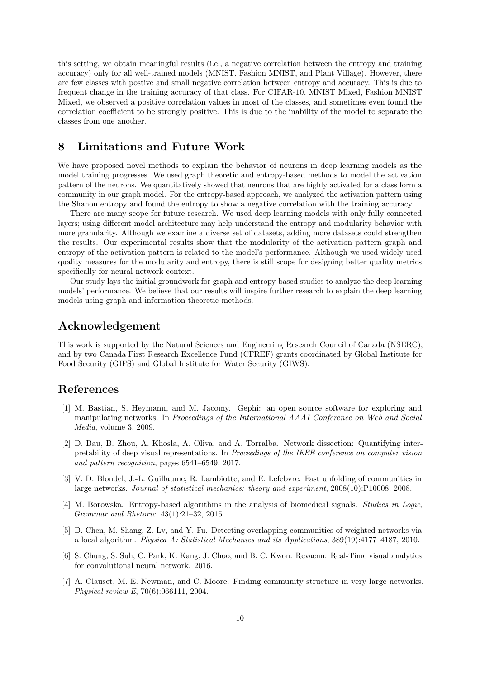this setting, we obtain meaningful results (i.e., a negative correlation between the entropy and training accuracy) only for all well-trained models (MNIST, Fashion MNIST, and Plant Village). However, there are few classes with postive and small negative correlation between entropy and accuracy. This is due to frequent change in the training accuracy of that class. For CIFAR-10, MNIST Mixed, Fashion MNIST Mixed, we observed a positive correlation values in most of the classes, and sometimes even found the correlation coefficient to be strongly positive. This is due to the inability of the model to separate the classes from one another.

## 8 Limitations and Future Work

We have proposed novel methods to explain the behavior of neurons in deep learning models as the model training progresses. We used graph theoretic and entropy-based methods to model the activation pattern of the neurons. We quantitatively showed that neurons that are highly activated for a class form a community in our graph model. For the entropy-based approach, we analyzed the activation pattern using the Shanon entropy and found the entropy to show a negative correlation with the training accuracy.

There are many scope for future research. We used deep learning models with only fully connected layers; using different model architecture may help understand the entropy and modularity behavior with more granularity. Although we examine a diverse set of datasets, adding more datasets could strengthen the results. Our experimental results show that the modularity of the activation pattern graph and entropy of the activation pattern is related to the model's performance. Although we used widely used quality measures for the modularity and entropy, there is still scope for designing better quality metrics specifically for neural network context.

Our study lays the initial groundwork for graph and entropy-based studies to analyze the deep learning models' performance. We believe that our results will inspire further research to explain the deep learning models using graph and information theoretic methods.

### Acknowledgement

This work is supported by the Natural Sciences and Engineering Research Council of Canada (NSERC), and by two Canada First Research Excellence Fund (CFREF) grants coordinated by Global Institute for Food Security (GIFS) and Global Institute for Water Security (GIWS).

### References

- <span id="page-9-6"></span>[1] M. Bastian, S. Heymann, and M. Jacomy. Gephi: an open source software for exploring and manipulating networks. In Proceedings of the International AAAI Conference on Web and Social Media, volume 3, 2009.
- <span id="page-9-0"></span>[2] D. Bau, B. Zhou, A. Khosla, A. Oliva, and A. Torralba. Network dissection: Quantifying interpretability of deep visual representations. In Proceedings of the IEEE conference on computer vision and pattern recognition, pages 6541–6549, 2017.
- <span id="page-9-3"></span>[3] V. D. Blondel, J.-L. Guillaume, R. Lambiotte, and E. Lefebvre. Fast unfolding of communities in large networks. Journal of statistical mechanics: theory and experiment, 2008(10):P10008, 2008.
- <span id="page-9-5"></span>[4] M. Borowska. Entropy-based algorithms in the analysis of biomedical signals. Studies in Logic, Grammar and Rhetoric, 43(1):21–32, 2015.
- <span id="page-9-4"></span>[5] D. Chen, M. Shang, Z. Lv, and Y. Fu. Detecting overlapping communities of weighted networks via a local algorithm. Physica A: Statistical Mechanics and its Applications, 389(19):4177–4187, 2010.
- <span id="page-9-1"></span>[6] S. Chung, S. Suh, C. Park, K. Kang, J. Choo, and B. C. Kwon. Revacnn: Real-Time visual analytics for convolutional neural network. 2016.
- <span id="page-9-2"></span>[7] A. Clauset, M. E. Newman, and C. Moore. Finding community structure in very large networks. Physical review E, 70(6):066111, 2004.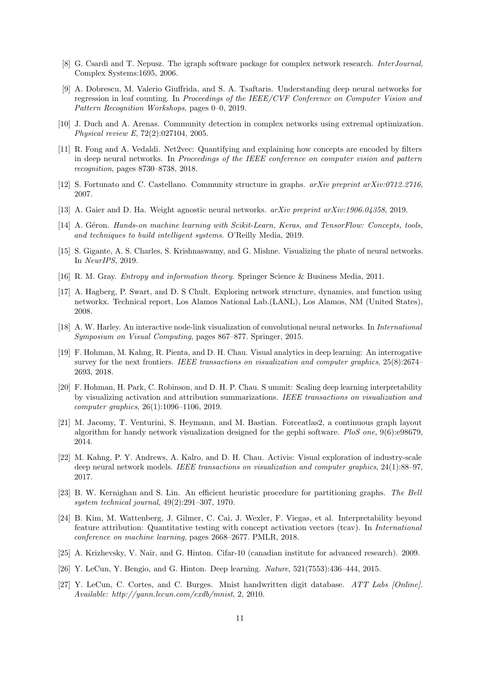- <span id="page-10-18"></span>[8] G. Csardi and T. Nepusz. The igraph software package for complex network research. InterJournal, Complex Systems:1695, 2006.
- <span id="page-10-12"></span>[9] A. Dobrescu, M. Valerio Giuffrida, and S. A. Tsaftaris. Understanding deep neural networks for regression in leaf counting. In Proceedings of the IEEE/CVF Conference on Computer Vision and Pattern Recognition Workshops, pages 0–0, 2019.
- <span id="page-10-14"></span>[10] J. Duch and A. Arenas. Community detection in complex networks using extremal optimization. Physical review E, 72(2):027104, 2005.
- <span id="page-10-7"></span>[11] R. Fong and A. Vedaldi. Net2vec: Quantifying and explaining how concepts are encoded by filters in deep neural networks. In Proceedings of the IEEE conference on computer vision and pattern recognition, pages 8730–8738, 2018.
- <span id="page-10-13"></span>[12] S. Fortunato and C. Castellano. Community structure in graphs. arXiv preprint arXiv:0712.2716, 2007.
- <span id="page-10-3"></span>[13] A. Gaier and D. Ha. Weight agnostic neural networks. arXiv preprint arXiv:1906.04358, 2019.
- <span id="page-10-1"></span>[14] A. Géron. Hands-on machine learning with Scikit-Learn, Keras, and TensorFlow: Concepts, tools, and techniques to build intelligent systems. O'Reilly Media, 2019.
- <span id="page-10-2"></span>[15] S. Gigante, A. S. Charles, S. Krishnaswamy, and G. Mishne. Visualizing the phate of neural networks. In NeurIPS, 2019.
- <span id="page-10-5"></span>[16] R. M. Gray. Entropy and information theory. Springer Science & Business Media, 2011.
- <span id="page-10-17"></span>[17] A. Hagberg, P. Swart, and D. S Chult. Exploring network structure, dynamics, and function using networkx. Technical report, Los Alamos National Lab.(LANL), Los Alamos, NM (United States), 2008.
- <span id="page-10-9"></span>[18] A. W. Harley. An interactive node-link visualization of convolutional neural networks. In International Symposium on Visual Computing, pages 867–877. Springer, 2015.
- <span id="page-10-8"></span>[19] F. Hohman, M. Kahng, R. Pienta, and D. H. Chau. Visual analytics in deep learning: An interrogative survey for the next frontiers. IEEE transactions on visualization and computer graphics, 25(8):2674– 2693, 2018.
- <span id="page-10-4"></span>[20] F. Hohman, H. Park, C. Robinson, and D. H. P. Chau. S ummit: Scaling deep learning interpretability by visualizing activation and attribution summarizations. IEEE transactions on visualization and computer graphics, 26(1):1096–1106, 2019.
- <span id="page-10-16"></span>[21] M. Jacomy, T. Venturini, S. Heymann, and M. Bastian. Forceatlas2, a continuous graph layout algorithm for handy network visualization designed for the gephi software. PloS one, 9(6):e98679, 2014.
- <span id="page-10-11"></span>[22] M. Kahng, P. Y. Andrews, A. Kalro, and D. H. Chau. Activis: Visual exploration of industry-scale deep neural network models. IEEE transactions on visualization and computer graphics, 24(1):88–97, 2017.
- <span id="page-10-19"></span>[23] B. W. Kernighan and S. Lin. An efficient heuristic procedure for partitioning graphs. The Bell system technical journal, 49(2):291–307, 1970.
- <span id="page-10-6"></span>[24] B. Kim, M. Wattenberg, J. Gilmer, C. Cai, J. Wexler, F. Viegas, et al. Interpretability beyond feature attribution: Quantitative testing with concept activation vectors (tcav). In International conference on machine learning, pages 2668–2677. PMLR, 2018.
- <span id="page-10-15"></span>[25] A. Krizhevsky, V. Nair, and G. Hinton. Cifar-10 (canadian institute for advanced research). 2009.
- <span id="page-10-0"></span>[26] Y. LeCun, Y. Bengio, and G. Hinton. Deep learning. Nature, 521(7553):436–444, 2015.
- <span id="page-10-10"></span>[27] Y. LeCun, C. Cortes, and C. Burges. Mnist handwritten digit database. ATT Labs [Online]. Available: http://yann.lecun.com/exdb/mnist, 2, 2010.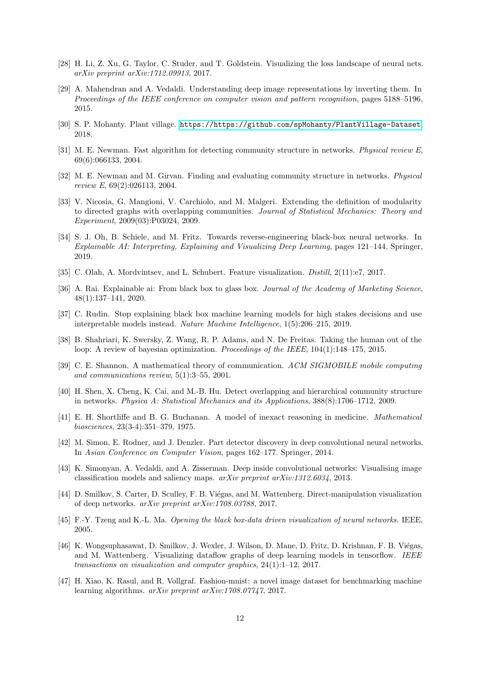- <span id="page-11-7"></span>[28] H. Li, Z. Xu, G. Taylor, C. Studer, and T. Goldstein. Visualizing the loss landscape of neural nets. arXiv preprint arXiv:1712.09913, 2017.
- <span id="page-11-8"></span>[29] A. Mahendran and A. Vedaldi. Understanding deep image representations by inverting them. In Proceedings of the IEEE conference on computer vision and pattern recognition, pages 5188–5196, 2015.
- <span id="page-11-19"></span>[30] S. P. Mohanty. Plant village. <https://https://github.com/spMohanty/PlantVillage-Dataset>, 2018.
- <span id="page-11-14"></span>[31] M. E. Newman. Fast algorithm for detecting community structure in networks. Physical review E, 69(6):066133, 2004.
- <span id="page-11-13"></span>[32] M. E. Newman and M. Girvan. Finding and evaluating community structure in networks. Physical review E, 69(2):026113, 2004.
- <span id="page-11-16"></span>[33] V. Nicosia, G. Mangioni, V. Carchiolo, and M. Malgeri. Extending the definition of modularity to directed graphs with overlapping communities. Journal of Statistical Mechanics: Theory and Experiment, 2009(03):P03024, 2009.
- <span id="page-11-1"></span>[34] S. J. Oh, B. Schiele, and M. Fritz. Towards reverse-engineering black-box neural networks. In Explainable AI: Interpreting, Explaining and Visualizing Deep Learning, pages 121–144. Springer, 2019.
- <span id="page-11-6"></span>[35] C. Olah, A. Mordvintsev, and L. Schubert. Feature visualization. Distill, 2(11):e7, 2017.
- <span id="page-11-0"></span>[36] A. Rai. Explainable ai: From black box to glass box. Journal of the Academy of Marketing Science, 48(1):137–141, 2020.
- <span id="page-11-3"></span>[37] C. Rudin. Stop explaining black box machine learning models for high stakes decisions and use interpretable models instead. Nature Machine Intelligence, 1(5):206–215, 2019.
- <span id="page-11-4"></span>[38] B. Shahriari, K. Swersky, Z. Wang, R. P. Adams, and N. De Freitas. Taking the human out of the loop: A review of bayesian optimization. Proceedings of the IEEE, 104(1):148–175, 2015.
- <span id="page-11-17"></span>[39] C. E. Shannon. A mathematical theory of communication. ACM SIGMOBILE mobile computing and communications review, 5(1):3–55, 2001.
- <span id="page-11-15"></span>[40] H. Shen, X. Cheng, K. Cai, and M.-B. Hu. Detect overlapping and hierarchical community structure in networks. Physica A: Statistical Mechanics and its Applications, 388(8):1706–1712, 2009.
- <span id="page-11-5"></span>[41] E. H. Shortliffe and B. G. Buchanan. A model of inexact reasoning in medicine. Mathematical biosciences, 23(3-4):351–379, 1975.
- <span id="page-11-9"></span>[42] M. Simon, E. Rodner, and J. Denzler. Part detector discovery in deep convolutional neural networks. In Asian Conference on Computer Vision, pages 162–177. Springer, 2014.
- <span id="page-11-12"></span>[43] K. Simonyan, A. Vedaldi, and A. Zisserman. Deep inside convolutional networks: Visualising image classification models and saliency maps. arXiv preprint arXiv:1312.6034, 2013.
- <span id="page-11-11"></span>[44] D. Smilkov, S. Carter, D. Sculley, F. B. Viégas, and M. Wattenberg. Direct-manipulation visualization of deep networks. arXiv preprint arXiv:1708.03788, 2017.
- <span id="page-11-2"></span>[45] F.-Y. Tzeng and K.-L. Ma. Opening the black box-data driven visualization of neural networks. IEEE, 2005.
- <span id="page-11-10"></span>[46] K. Wongsuphasawat, D. Smilkov, J. Wexler, J. Wilson, D. Mane, D. Fritz, D. Krishnan, F. B. Viégas, and M. Wattenberg. Visualizing dataflow graphs of deep learning models in tensorflow. IEEE transactions on visualization and computer graphics, 24(1):1–12, 2017.
- <span id="page-11-18"></span>[47] H. Xiao, K. Rasul, and R. Vollgraf. Fashion-mnist: a novel image dataset for benchmarking machine learning algorithms. arXiv preprint arXiv:1708.07747, 2017.